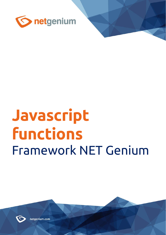

# **Javascript functions** Framework NET Genium



netgenium.com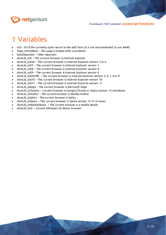

# 1 Variables

- nID ID of the currently open record in the edit form (it is not recommended to use #id#)
- Page\_IsPostBack The page is loaded after a postback
- dateSeparator Date separator
- domLib\_isIE The current browser is Internet Explorer
- domLib isIE56 The current browser is Internet Explorer version 5 or 6
- domLib\_isIE7 The current browser is Internet Explorer version 7
- domLib\_isIE8 The current browser is Internet Explorer version 8
- domLib isIE9 The current browser is Internet Explorer version 9
- domLib isIE56789 The current browser is Internet Explorer version 5, 6, 7, 8 or 9
- domLib\_isIE10 The current browser is Internet Explorer version 10
- domLib\_isIE11 The current browser is Internet Explorer version 11
- domLib\_isEdge The current browser is Microsoft Edge
- domLib isChrome Current browser is Google Chrome or Opera version 15 and above
- domLib isFirefox The current browser is Mozilla Firefox
- domLib\_isSafari The current browser is Safari
- domLib isOpera The current browser is Opera version 12.15 or lower
- domLib\_isMobileDevice The current browser is a mobile device
- domLib\_isCE Current Windows CE device browser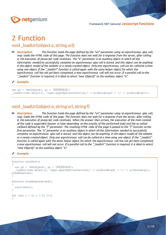

## 2 Function

## void loadUrl(object o, string url)

*Description: The function loads the page defined by the "url" parameter using an asynchronous ajax call, resp. loads the HTML code of this page. The function does not wait for a response from the server, after calling it, the execution of javascript code continues. The "o" parameter is an auxiliary object in which all the information needed to successfully complete an asynchronous ajax call is stored, and this object can be anything*  in the object model of the website or a newly created object. Only one asynchronous call can be called at a time *using one object. If the "\_loadUrl" function is called again with the same helper object for which the asynchronous call has not yet been completed, a new asynchronous call will not occur. If a parallel call to the "\_loadUrl" function is required, it is ideal to select "new Object()" as the auxiliary object "o".*

*Example:*

```
var p0 = 'ěščřžýáíé', p1 = 'ĚŠČŘŽÝÁÍÉ';
_loadUrl(new Object(), 'ngef.aspx?MyFirstFunction,' + urlEncode(p0) + ',' + urlEncode(p1));
```
#### void \_loadUrl(object o, string url, string f)

印 *Description: The function loads the page defined by the "url" parameter using an asynchronous ajax call, resp. loads the HTML code of this page. The function does not wait for a response from the server, after calling it, the execution of javascript code continues. When the answer then arrives, the execution of the main context of the code is suspended (sooner or later depending on the priority of the performed task) and the so-called callback defined by the "f" parameter. The resulting HTML code of the page is passed to the "f" function as the first parameter. The "o" parameter is an auxiliary object in which all the information needed to successfully complete an asynchronous ajax call is stored, and this object can be anything in the object model of the website or a newly created object. Only one asynchronous call can be called at a time using one object. If the "\_loadUrl" function is called again with the same helper object for which the asynchronous call has not yet been completed, a new asynchronous call will not occur. If a parallel call to the "\_loadUrl" function is required, it is ideal to select "new Object()" as the auxiliary object "o".*

#### *Example:*

```
function ajaxTest()
\left\{ \right. var p0 = 'ěščřžýáíé', p1 = 'ĚŠČŘŽÝÁÍÉ';
   _loadUrl(new Object(), 'ngef.aspx?MyFirstFunction,' + urlEncode(p0) + ',' + urlEncode(p1), 
ajaxResponse);
}
function ajaxResponse(html)
{
  alert(html);
}
for (var i = 0; i < 5; i++){
```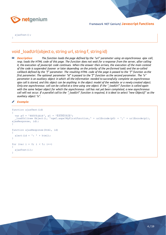

 ajaxTest(); }

## void  $\lceil \text{loadUrl}(\text{object o}, \text{string url}, \text{string f}, \text{string id}) \rceil$

*Description: The function loads the page defined by the "url" parameter using an asynchronous ajax call,*  印 *resp. loads the HTML code of this page. The function does not wait for a response from the server, after calling it, the execution of javascript code continues. When the answer then arrives, the execution of the main context of the code is suspended (sooner or later depending on the priority of the performed task) and the so-called callback defined by the "f" parameter. The resulting HTML code of the page is passed to the "f" function as the first parameter. The optional parameter "id" is passed to the "f" function as the second parameter. The "o" parameter is an auxiliary object in which all the information needed to successfully complete an asynchronous ajax call is stored, and this object can be anything in the object model of the website or a newly created object. Only one asynchronous call can be called at a time using one object. If the "\_loadUrl" function is called again with the same helper object for which the asynchronous call has not yet been completed, a new asynchronous call will not occur. If a parallel call to the "\_loadUrl" function is required, it is ideal to select "new Object()" as the auxiliary object "o".*

#### *Example:*

```
function ajaxTest(id)
{
   var p0 = 'ěščřžýáíé', p1 = 'ĚŠČŘŽÝÁÍÉ';
    _loadUrl(new Object(), 'ngef.aspx?MyFirstFunction,' + urlEncode(p0) + ',' + urlEncode(p1), 
ajaxResponse, id);
}
function ajaxResponse(html, id)
{
  alert(id + \cdot : \cdot + html);
}
for (var i = 0; i < 5; i++){
   ajaxTest(i);
}
```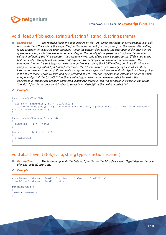

## void \_loadUrl(object o, string url, string f, string id, string params)

*Description: The function loads the page defined by the "url" parameter using an asynchronous ajax call, resp. loads the HTML code of this page. The function does not wait for a response from the server, after calling it, the execution of javascript code continues. When the answer then arrives, the execution of the main context of the code is suspended (sooner or later depending on the priority of the performed task) and the so-called callback defined by the "f" parameter. The resulting HTML code of the page is passed to the "f" function as the first parameter. The optional parameter "id" is passed to the "f" function as the second parameter. The parameter "params" is sent together with the asynchronous call by the POST method, and it is a list of key vs.*  pair pairs. value separated by a "&" character. The "o" parameter is an auxiliary object in which all the *information needed to successfully complete an asynchronous ajax call is stored, and this object can be anything*  in the object model of the website or a newly created object. Only one asynchronous call can be called at a time *using one object. If the "\_loadUrl" function is called again with the same helper object for which the asynchronous call has not yet been completed, a new asynchronous call will not occur. If a parallel call to the "\_loadUrl" function is required, it is ideal to select "new Object()" as the auxiliary object "o".*

*Example:*

```
function ajaxTest(id)
```

```
{
      var p0 = 'ěščřžýáíé', p1 = 'ĚŠČŘŽÝÁÍÉ';
        _loadUrl(new Object(), 'ngef.aspx?MyFirstFunction', ajaxResponse, id, 'p0=' + urlEncode(p0) 
    \overline{\phantom{a}} \overline{\phantom{a}} \overline{\phantom{a}} \overline{\phantom{a}} \overline{\phantom{a}} \overline{\phantom{a}} \overline{\phantom{a}} \overline{\phantom{a}} \overline{\phantom{a}} \overline{\phantom{a}} \overline{\phantom{a}} \overline{\phantom{a}} \overline{\phantom{a}} \overline{\phantom{a}} \overline{\phantom{a}} \overline{\phantom{a}} \overline{\phantom{a}} \overline{\phantom{a}} \overline{\}
function ajaxResponse(html, id)
{
     alert(id + \cdot : \cdot + html);
}
for (var i = 0; i < 5; i++){
      ajaxTest(i);
}
```
#### void attachEvent2(object o, string type, function listener)

*Description: The function appends the "listener" function to the "o" object event. "Type" defines the type of event, eg load, scroll, etc.*

```
Example:
```

```
attachEvent2(window, 'load', function () { alert('onload1'); });
attachEvent2(window, 'load', test);
function test()
{
alert('onload2');
}
```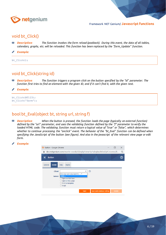

#### void bt\_Click()

- 配 *Description: The function invokes the form reload (postback). During this event, the data of all tables, calendars, graphs, etc. will be reloaded. This function has been replaced by the "form\_Update" function.*
- *Example:* Í

bt Click();

#### void bt\_Click(string id)

- RB. *Description: The function triggers a program click on the button specified by the "id" parameter. The function first tries to find an element with the given ID, and if it can't find it, with the given text.*
- *Example:*

```
bt Click(BT123);
bt_Click('Save');
```
#### bool bt\_Eval(object bt, string url, string f)

- RIP. *Description: When the button is pressed, the function loads the page (typically an external function) defined by the "url" parameter, and uses the validating function defined by the "f" parameter to verify the*  loaded HTML code. The validating function must return a logical value of "true" or "false", which determines *whether to continue processing the "onclick" event. The behavior of the "bt\_Eval" function can be defined when specifying the JavaScript of the button (see figure). And also in the javascript of the relevant view page or edit form.*
- *Example:*

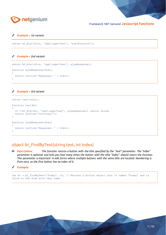

*Example – 1st variant:*

```
return bt_Eval(this, 'ngef.aspx?test', 'evalFunction');
```
*Example – 2nd variant:*

```
return bt Eval(this, 'ngef.aspx?test', ajaxResponse);
function ajaxResponse(html)
-{
   return confirm('Response: ' + html);
}
```
*Example – 3rd variant:*

```
return test(this);
function test(bt)
{
  if (!bt Eval(bt, 'ngef.aspx?test', ajaxResponse)) return false;
 return confirm('Continue?');
}
function ajaxResponse(html)
\left\{ \right. return confirm('Response: ' + html);
}
```
#### object bt\_FindByText(string text, int index)

- *Description: The function returns a button with the title specified by the "text" parameter. The "index" parameter is optional and tells you how many times the button with the title "index" should return the function. This parameter is important in edit forms where multiple buttons with the same title are located. Numbering is from zero, so the first button has an index of 0.*
- *Example:*

var bt = bt FindByText('Today', 2); // Returns a button object that is named "Today" and is third in the form with that name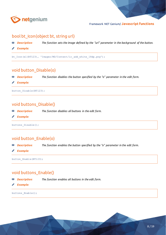

## bool bt\_Icon(object bt, string url)

- RIP. *Description: The function sets the image defined by the "url" parameter in the background of the button.*
- *Example:*

bt Icon(el(BT123), 'Images/MD/Content/ic add white 18dp.png');

#### void button\_Disable(o)

- *Description: The function disables the button specified by the "o" parameter in the edit form.* 印
- *Example:*

button Disable(BT123);

#### void buttons\_Disable()

*Description: The function disables all buttons in the edit form.* RB.

*Example:*

buttons\_Disable();

#### void button\_Enable(o)

- *Description: The function enables the button specified by the "o" parameter in the edit form.* 80
- *Example:*

button\_Enable(BT123);

#### void buttons\_Enable()

RP. *Description: The function enables all buttons in the edit form.*

*Example:*

buttons\_Enable();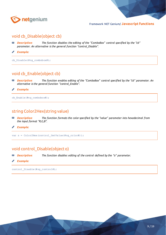

#### void cb Disable(object cb)

- *Description: The function disables the editing of the "ComboBox" control specified by the "cb" parameter. An alternative is the general function "control\_Disable".*
- ◢ *Example:*

cb\_Disable(#ng\_combobox#);

#### void cb\_Enable(object cb)

- *Description: The function enables editing of the "ComboBox" control specified by the "cb" parameter. An*  聊 *alternative is the general function "control\_Enable".*
- *Example:* ∕

cb\_Enable(#ng\_combobox#);

#### string Color2Hex(string value)

- *Description: The function formats the color specified by the "value" parameter into hexadecimal from*  即 *the input format "R,G,B".*
- *Example:* ∥

var s = Color2Hex(control GetValue(#ng color#));

#### void control\_Disable(object o)

- 印 *Description: The function disables editing of the control defined by the "o" parameter.*
- *Example:*

control\_Disable(#ng\_control#);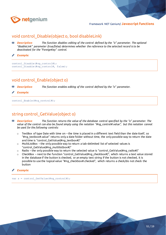

#### void control\_Disable(object o, bool disableLink)

*Description: The function disables editing of the control defined by the "o" parameter. The optional*  印 *"disableLink" parameter (true/false) determines whether the reference to the selected record is to be deactivated for the "ForeignKey" control.*

*Example:*

```
control Disable(#ng control#);
control Disable(#ng control#, false);
```
#### void control\_Enable(object o)

*Description: The function enables editing of the control defined by the "o" parameter.* 印

*Example:*

control Enable(#ng control#);

#### string control GetValue(object o)

- Eß. *Description: The function returns the value of the database control specified by the "o" parameter. The value of the control can also be found simply using the notation "#ng\_control#.value", but this notation cannot be used for the following controls:*
	- $\circ$  TextBox of type Date with time on the time is placed in a different text field than the date itself, so "#ng\_textbox#.value" returns only a date folder without time, the only possible way to return the date and time is "control\_GetValue(#ng\_textbox#)"
	- o MultiListBox the only possible way to return a tab-delimited list of selected values is "control\_GetValue(#ng\_multilistbox#)"
	- $\circ$  Radio the only possible way to return the selected value is "control\_GetValue(#ng\_radio#)"
	- $\circ$  CheckBox next to the function "control\_GetValue(#ng\_checkbox#)", which returns a text value stored in the database if the button is checked, or an empty text string if the button is not checked, it is possible to use the logical value "#ng\_checkbox#.checked", which returns a check/do not check the button
- *Example:*

var s = control GetValue(#ng control#);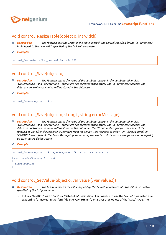

#### void control\_ResizeTable(object o, int width)

- **<sup>88</sup>** *Description: The function sets the width of the table in which the control specified by the "o" parameter is displayed to the new width specified by the "width" parameter.*
- *Example:*

control ResizeTable(#ng control:Table#, 60);

#### void control\_Save(object o)

印 *Description: The function stores the value of the database control in the database using ajax. "OnBeforeSave" and "OnAfterSave" events are not executed when saved. The "o" parameter specifies the database control whose value will be stored in the database.*

*Example:*

control Save(#ng control#);

#### void control\_Save(object o, string f, string errorMessage)

印 *Description: The function stores the value of the database control in the database using ajax. "OnBeforeSave" and "OnAfterSave" events are not executed when saved. The "o" parameter specifies the database control whose value will be stored in the database. The "f" parameter specifies the name of the function to run after the response is retrieved from the server. This response is either "OK" (record saved) or "ERROR" (record failed). The "errorMessage" parameter defines the text of the error message that is displayed if an error occurs during saving.*

#### *Example:*

```
control Save(#ng control#, ajaxResponse, 'An error has occured');
function ajaxResponse(status)
{
   alert(status);
}
```
#### void control\_SetValue(object o, var value [, var value2])

- EIP. *Description: The function inserts the value defined by the "value" parameter into the database control specified by the "o" parameter.*
	- $\circ$  If it is a "TextBox" with "Date" or "DatePicker" validation, it is possible to use the "value" parameter as a text string formatted in the form "dd.MM.yyyy HH:mm", or a javascript object of the "Date" type. The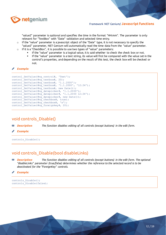

"value2" parameter is optional and specifies the time in the format "HH:mm". The parameter is only relevant for "TextBox" with "Date" validation and selected time entry.

- o If the "value" parameter is a javascript object of the "Date" type, it is not necessary to specify the "value2" parameter, NET Genium will automatically read the time data from the "value" parameter.
- $\circ$  If it is a "CheckBox", it is possible to use two types of "value" parameters:
	- If the "value" parameter is a logical value, it is said whether to check the check box or not.
		- If the "value" parameter is a text string, its value will first be compared with the value set in the control's properties, and depending on the result of this test, the check box will be checked or not.

#### *Example:*

```
control SetValue(#ng control#, 'Text');
control SetValue(#ng_textbox#, 20);
control SetValue(#ng textbox#, '1.1.2000');
control SetValue(#ng textbox#, '1.1.2000', '12:34');
control SetValue(#ng textbox#, new Date());
control SetValue(#ng datepicker#, '1.1.2000');
control SetValue(#ng datepicker#, '1.1.2000 12:34');
control SetValue(#ng datepicker#, new Date());
control<sup>SetValue(#ng_checkbox#, true);</sup>
control SetValue(#ng checkbox#, 'x');
control SetValue(#ng foreignkey#, 20);
```
#### void controls\_Disable()

函

*Description: The function disables editing of all controls (except buttons) in the edit form.*

*Example:*

controls\_Disable();

#### void controls\_Disable(bool disableLinks)

- Eß. *Description: The function disables editing of all controls (except buttons) in the edit form. The optional "disableLinks" parameter (true/false) determines whether the reference to the selected record is to be deactivated for the "ForeignKey" controls.*
- *Example:*

```
controls_Disable();
controls_Disable(false);
```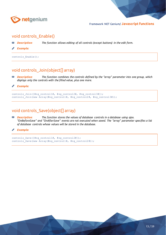

#### void controls\_Enable()

- *Description: The function allows editing of all controls (except buttons) in the edit form.* Eß.
- *Example:*

controls Enable();

## void controls\_Join(object[] array)

*Description: The function combines the controls defined by the "array" parameter into one group, which*  20 *displays only the controls with the filled value, plus one more.*

*Example:*

```
controls Join([#ng_control1#, #ng_control2#, #ng_control3#]);
controls Join(new Array(#ng_control1#, #ng_control2#, #ng_control3#));
```
## void controls\_Save(object[] array)

- **<sup>88</sup>** *Description: The function stores the values of database controls in a database using ajax. "OnBeforeSave" and "OnAfterSave" events are not executed when saved. The "array" parameter specifies a list of database controls whose values will be stored in the database.*
- *Example:*

```
controls_Save([#ng_control1#, #ng_control2#]);
controls_Save(new Array(#ng_control1#, #ng_control2#));
```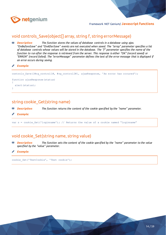

#### void controls Save(object[] array, string f, string errorMessage)

**<sup>88</sup>** *Description: The function stores the values of database controls in a database using ajax. "OnBeforeSave" and "OnAfterSave" events are not executed when saved. The "array" parameter specifies a list of database controls whose values will be stored in the database. The "f" parameter specifies the name of the function to run after the response is retrieved from the server. This response is either "OK" (record saved) or "ERROR" (record failed). The "errorMessage" parameter defines the text of the error message that is displayed if an error occurs during saving.*

*Example:*

```
controls Save([#ng_control1#, #ng_control2#], ajaxResponse, 'An error has occured');
function ajaxResponse(status)
{
   alert(status);
}
```
#### string cookie\_Get(string name)

函 *Description: The function returns the content of the cookie specified by the "name" parameter.*

*Example:*

var s = cookie\_Get('loginname'); // Returns the value of a cookie named "loginname"

#### void cookie\_Set(string name, string value)

- 印 *Description: The function sets the content of the cookie specified by the "name" parameter to the value specified by the "value" parameter.*
- *Example:*

cookie\_Set('TestCookie', 'Test cookie');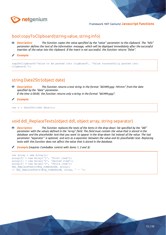

#### bool copyToClipboard(string value, string info)

- 印 *Description: The function copies the value specified by the "value" parameter to the clipboard. The "info" parameter defines the text of the information message, which will be displayed immediately after the successful insertion of the value into the clipboard. If the insert is not successful, the function returns "false".*
- *Example:*

copyToClipboard('Value to be pasted into clipboard', 'Value successfully pasted into clipboard.');

#### string Date2Str(object date)

- *Description: The function returns a text string in the format "dd.MM.yyyy HH:mm" from the date*  RB. *specified by the "date" parameter. If the time is 00:00, the function returns only a string in the format "dd.MM.yyyy".*
- *Example:*

var  $s =$  Date2Str(new Date());

#### void ddl\_ReplaceTexts(object ddl, object array, string separator)

- 印 *Description: The function replaces the texts of the items in the drop-down list specified by the "ddl" parameter with the values defined in the "array" field. The field must contain the value that is stored in the database and the placeholder text that you want to appear in the drop-down list instead of the value. The last parameter "separator" is optional, and acts as a separator between the value and its placeholder text. Replacing texts with this function does not affect the value that is stored in the database.*
- *Example (requires ComboBox control with items 1, 2 and 3):*

```
var array = new Array();
array[0] = new Array('1', 'First item');array[1] = new Array('2', 'Second item');
array[2] = new Array('3', 'Third item');
ddl ReplaceTexts(#ng combobox#, array);
// ddl ReplaceTexts(#ng combobox#, array, ' - ');
```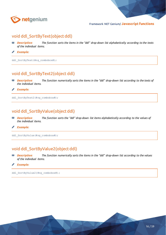

#### void ddl\_SortByText(object ddl)

- *Description: The function sorts the items in the "ddl" drop-down list alphabetically according to the texts of the individual items.*
- **A** *Example:*

ddl SortByText(#ng combobox#);

## void ddl\_SortByText2(object ddl)

- *Description: The function numerically sorts the items in the "ddl" drop-down list according to the texts of*  RB. *the individual items.*
- *Example:* **Contraction**

ddl SortByText2(#ng combobox#);

## void ddl\_SortByValue(object ddl)

- *Description: The function sorts the "ddl" drop-down list items alphabetically according to the values of*  剛 *the individual items.*
- ∥ *Example:*

ddl\_SortByValue(#ng\_combobox#);

## void ddl\_SortByValue2(object ddl)

- 20 *Description: The function numerically sorts the items in the "ddl" drop-down list according to the values of the individual items.*
- *Example:* Í

ddl SortByValue2(#ng combobox#);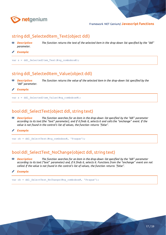

#### string ddl\_SelectedItem\_Text(object ddl)

- *Description: The function returns the text of the selected item in the drop-down list specified by the "ddl"*  硇 *parameter.*
- *Example:* Ø

```
var s = ddl SelectedItem Text(#ng combobox#);
```
## string ddl\_SelectedItem\_Value(object ddl)

- 20 *Description: The function returns the value of the selected item in the drop-down list specified by the "ddl" parameter.*
- *Example:* ◢

var s = ddl SelectedItem Value(#ng combobox#);

#### bool ddl\_SelectText(object ddl, string text)

*Description: The function searches for an item in the drop-down list specified by the "ddl" parameter according to its text (the "text" parameter), and if it finds it, selects it and calls the "onchange" event. If the value is not found in the control's list of values, the function returns "false".*

*Example:*

var ok = ddl\_SelectText(#ng\_combobox#, 'Prague');

#### bool ddl\_SelectText\_NoChange(object ddl, string text)

- *Description: The function searches for an item in the drop-down list specified by the "ddl" parameter*  RP. *according to its text ("text" parameter) and, if it finds it, selects it. Functions from the "onchange" event are not called. If the value is not found in the control's list of values, the function returns "false".*
- *Example:*

var ok = ddl SelectText NoChange(#ng\_combobox#, 'Prague');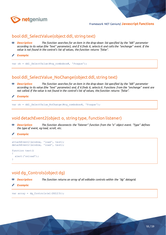

#### bool ddl\_SelectValue(object ddl, string text)

- 印 *Description: The function searches for an item in the drop-down list specified by the "ddl" parameter according to its value (the "text" parameter), and if it finds it, selects it and calls the "onchange" event. If the*  value is not found in the control's list of values, the function returns "false".
- *Example:*

var ok = ddl SelectValue(#ng combobox#, 'Prague');

#### bool ddl\_SelectValue\_NoChange(object ddl, string text)

- 80 *Description: The function searches for an item in the drop-down list specified by the "ddl" parameter according to its value (the "text" parameter) and, if it finds it, selects it. Functions from the "onchange" event are not called. If the value is not found in the control's list of values, the function returns "false".*
- *Example:*

var ok = ddl\_SelectValue\_NoChange(#ng\_combobox#, 'Prague');

#### void detachEvent2(object o, string type, function listener)

- *Description: The function disconnects the "listener" function from the "o" object event. "Type" defines*  Eß. *the type of event, eg load, scroll, etc.*
- *Example:*

```
attachEvent2(window, 'load', test);
detachEvent2(window, 'load', test);
function test()
{
   alert('onload');
}
```
## void dg\_Controls(object dg)

*Description: The function returns an array of all editable controls within the "dg" datagrid.*

*Example:*

var array = dg\_Controls(el(DG123));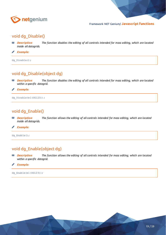

#### void dg\_Disable()

**<sup>88</sup>** *Description: The function disables the editing of all controls intended for mass editing, which are located inside all datagrids.*

**A** *Example:*

dg\_Disable();

## void dg\_Disable(object dg)

- *Description: The function disables the editing of all controls intended for mass editing, which are located*  RB. *within a specific datagrid.*
- *Example:* ◢

dg\_Disable(el(DG123));

#### void dg\_Enable()

*Description: The function allows the editing of all controls intended for mass editing, which are located*  20 *inside all datagrids.*

∥ *Example:*

dg Enable();

## void dg\_Enable(object dg)

- RB. *Description: The function allows the editing of all controls intended for mass editing, which are located within a specific datagrid.*
- Í *Example:*

dg\_Enable(el(DG123));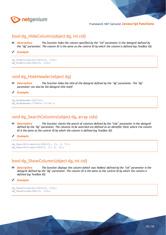

#### bool dg\_HideColumn(object dg, int cid)

- *Description: The function hides the column specified by the "cid" parameter in the datagrid defined by*  印 *the "dg" parameter. The column ID is the same as the control ID by which the column is defined (eg TextBox ID).*
- *Example:* b

```
dg_HideColumn(el(DG123), 123);
dg HideColumn(DG123, 123);
```
#### void dg\_HideHeader(object dg)

- *Description: The function hides the title of the datagrid defined by the "dg" parameter. The "dg"*  印 *parameter can also be the datagrid title itself.*
- *Example:*

```
dg_HideHeader(DG123);
dg HideHeader('Table title');
```
#### void dg\_SearchColumns(object dg, array cids)

RB. *Description: The function checks the search of columns defined by the "cids" parameter in the datagrid defined by the "dg" parameter. The columns to be searched are defined as an identifier field, where the column ID is the same as the control ID by which the column is defined (eg TextBox ID).*

*Example:*

```
dg_SearchColumns(el(DG123), [1, 2, 3]);
dg SearchColumns(DG123, [1, 2, 3]);
```
#### bool dg\_ShowColumn(object dg, int cid)

Eß. *Description: The function displays the column (which was hidden) defined by the "cid" parameter in the datagrid defined by the "dg" parameter. The column ID is the same as the control ID by which the column is defined (eg TextBox ID).*

*Example:*

```
dg_ShowColumn(el(DG123), 123);
dg ShowColumn(DG123, 123);
```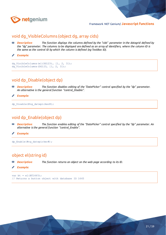

#### void dg\_VisibleColumns (object dg, array cids)

*Description: The function displays the columns defined by the "cids" parameter in the datagrid defined by*  配 *the "dg" parameter. The columns to be displayed are defined as an array of identifiers, where the column ID is the same as the control ID by which the column is defined (eg TextBox ID).*

```
Example:
```

```
dg VisibleColumns(el(DG123), [1, 2, 3]);
dg_VisibleColumns(DG123, [1, 2, 3]);
```
## void dp\_Disable(object dp)

- *Description: The function disables editing of the "DatePicker" control specified by the "dp" parameter. An alternative is the general function "control\_Disable".*
- ∕ *Example:*

```
dp Disable(#ng datepicker#);
```
## void dp\_Enable(object dp)

- RB. *Description: The function enables editing of the "DatePicker" control specified by the "dp" parameter. An alternative is the general function "control\_Enable".*
- *Example:* I

dp\_Enable(#ng\_datepicker#);

#### object el(string id)

- Eß, *Description: The function returns an object on the web page according to its ID.*
- *Example:*

```
var bt = el(BT1665);
// Returns a button object with database ID 1665
```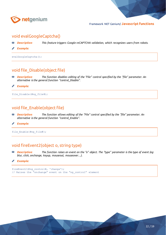

#### void evalGoogleCaptcha()

- *Description: This feature triggers Google reCAPTCHA validation, which recognizes users from robots.* RP.
- *Example:*

evalGoogleCaptcha();

## void file\_Disable(object file)

*Description: The function disables editing of the "File" control specified by the "file" parameter. An*  20 *alternative is the general function "control\_Disable".*

*Example:*

file Disable(#ng\_file#);

#### void file\_Enable(object file)

- 80 *Description: The function allows editing of the "File" control specified by the "file" parameter. An alternative is the general function "control\_Enable".*
- *Example:*

file\_Enable(#ng\_file#);

#### void fireEvent2(object o, string type)

- BB. *Description: The function raises an event on the "o" object. The "type" parameter is the type of event (eg blur, click, onchange, keyup, mouseout, mouseover…).*
- *Example:*

```
fireEvent2(#ng_control#, 'change');
// Raises the "onchange" event on the "ng_control" element
```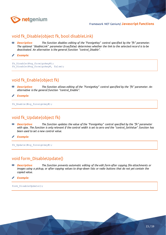

#### void fk\_Disable(object fk, bool disableLink)

*Description: The function disables editing of the "ForeignKey" control specified by the "fk" parameter. The optional "disableLink" parameter (true/false) determines whether the link to the selected record is to be deactivated. An alternative is the general function "control\_Disable".*

*Example:*

```
fk Disable(#ng_foreignkey#);
fk Disable(#ng foreignkey#, false);
```
## void fk\_Enable(object fk)

- *Description: The function allows editing of the "ForeignKey" control specified by the "fk" parameter. An alternative is the general function "control\_Enable".*
- Þ *Example:*

```
fk Enable(#ng foreignkey#);
```
#### void fk\_Update(object fk)

RB. *Description: The function updates the value of the "ForeignKey" control specified by the "fk" parameter with ajax. The function is only relevant if the control width is set to zero and the "control\_SetValue" function has been used to set a new control value.*

*Example:*

fk\_Update(#ng\_foreignkey#);

#### void form\_DisableUpdate()

*Description: The function prevents automatic editing of the edit form after copying file attachments or*  印 *images using a pickup, or after copying values to drop-down lists or radio buttons that do not yet contain the copied value.*

*Example:*

form DisableUpdate();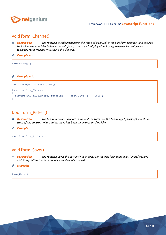

#### void form\_Change()

- *Description: The function is called whenever the value of a control in the edit form changes, and ensures that when the user tries to leave the edit form, a message is displayed indicating whether he really wants to leave the form without first saving the changes.*
- *Example n. 1:* Í

form Change();

∥ *Example n. 2:*

```
var saveObject = new Object();
function form_Change()
{
  setTimeout2(saveObject, function() { form Save(); }, 1000);
}
```
## bool form\_Picker()

- RB. *Description: The function returns a boolean value if the form is in the "onchange" javascript event call state of the controls whose values have just been taken over by the picker.*
- *Example:*

var ok = form\_Picker();

#### void form\_Save()

- RB. *Description: The function saves the currently open record in the edit form using ajax. "OnBeforeSave" and "OnAfterSave" events are not executed when saved.*
- *Example:*

form\_Save();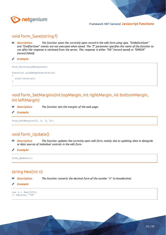

## void form\_Save(string f)

*Description: The function saves the currently open record in the edit form using ajax. "OnBeforeSave" and "OnAfterSave" events are not executed when saved. The "f" parameter specifies the name of the function to run after the response is retrieved from the server. This response is either "OK" (record saved) or "ERROR" (record failed).*

*Example:*

```
form Save(ajaxResponse);
function ajaxResponse(status)
{
  alert(status);
}
```
## void form\_SetMargins(int topMargin, int rightMargin, int bottomMargin, int leftMargin)

- *Description: The function sets the margins of the web page.* 20
- *Example:*

form SetMargins(0, 0, 0, 0);

## void form\_Update()

*Description: The function updates the currently open edit form, mainly due to updating data in datagrids or data sources of individual controls in the edit form.*

*Example:*

```
form Update();
```
## string Hex(int n)

- *Description: The function converts the decimal form of the number "n" to hexadecimal.* Rß.
- *Example:*

var  $s =$  Hex(123); // Returns "7B"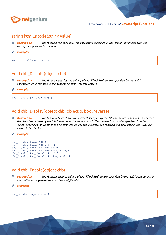

#### string htmlEncode(string value)

- *Description: The function replaces all HTML characters contained in the "value" parameter with the*  20 *corresponding character sequence.*
- *Example:* Ø

var  $s = \text{htmlEncode}('<>')$ ;

#### void chb\_Disable(object chb)

- *Description: The function disables the editing of the "CheckBox" control specified by the "chb"*  聊 *parameter. An alternative is the general function "control\_Disable".*
- *Example:*

chb\_Disable(#ng\_checkbox#);

#### void chb\_Display(object chb, object o, bool reverse)

**<sup>88</sup>** *Description: The function hides/shows the element specified by the "o" parameter depending on whether the checkbox defined by the "chb" parameter is checked or not. The "reverse" parameter specifies "true" or "false" depending on whether the function should behave inversely. The function is mainly used in the "OnClick" event at the checkbox.*

#### *Example:*

```
chb Display(this, 'D1');
chb_Display(this, 'D1', true);
chb_Display(this, #ng_textbox#);
chb_Display(this, #ng_textbox#, true);
chb_Display(#ng_checkbox#, 'D1');
chb_Display(#ng_checkbox#, #ng_textbox#);
```
#### void chb\_Enable(object chb)

印 *Description: The function enables editing of the "CheckBox" control specified by the "chb" parameter. An alternative is the general function "control\_Enable".*

*Example:*

chb\_Enable(#ng\_checkbox#);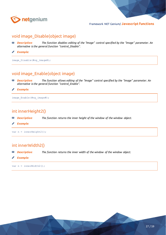

#### void image\_Disable(object image)

- *Description: The function disables editing of the "Image" control specified by the "image" parameter. An alternative is the general function "control\_Disable".*
- ∕ *Example:*

image Disable(#ng\_image#);

#### void image\_Enable(object image)

- *Description: The function allows editing of the "Image" control specified by the "image" parameter. An*  RB. *alternative is the general function "control\_Enable".*
- *Example:* ∕

image Enable(#ng image#);

#### int innerHeight2()

- *Description: The function returns the inner height of the window of the window object.* RIP.
- ∕ *Example:*

var n = innerHeight2();

#### int innerWidth2()

BB. *Description: The function returns the inner width of the window of the window object.*

Í *Example:*

var n = innerWidth2();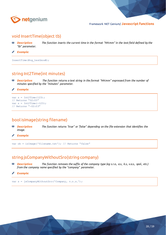

#### void InsertTime(object tb)

*Description: The function inserts the current time in the format "HH:mm" in the text field defined by the*  RB. *"tb" parameter.*

◢ *Example:*

InsertTime(#ng\_textbox#);

#### string Int2Time(int minutes)

*Description: The function returns a text string in the format "HH:mm" expressed from the number of*  聊 *minutes specified by the "minutes" parameter.*

*Example:* ◢

```
var s = Int2Time(123);
// Returns "02:03"
var s = Int2Time(-123);
// Returns "-02:03"
```
## bool isImage(string filename)

聊 *Description: The function returns "true" or "false" depending on the file extension that identifies the image.*

*Example:*

var ok = isImage('filename.txt'); // Returns "false"

#### string jsCompanyWithoutSro(string company)

- 聊 *Description: The function removes the suffix of the company type (eg s.r.o., a.s., k.s., v.o.s., spol., etc.) from the company name specified by the "company" parameter.*
- *Example:*

var s = jsCompanyWithoutSro('Company, v.o.s.');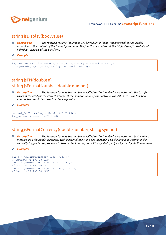

#### string jsDisplay(bool value)

- *Description: The function returns '' (element will be visible) or 'none' (element will not be visible)*  印 *according to the content of the "value" parameter. The function is used to set the "style.display" attribute of individual controls of the edit form.*
- *Example:*

```
#ng textbox:Table#.style.display = jsDisplay(#ng checkbox#.checked);
D1.style.display = jsDisplay(#ng checkbox#.checked);
```
## string jsFN(double n) string jsFormatNumber(double number)

- *Description: The function formats the number specified by the "number" parameter into the text form, which is required for the correct storage of the numeric value of the control in the database – the function ensures the use of the correct decimal separator.*
- *Example:*

```
control SetValue(#ng textbox#, jsFN(1.23));
#ng textbox#.value = jsFN(1.23);
```
#### string jsFormatCurrency(double number, string symbol)

- 20 *Description: The function formats the number specified by the "number" parameter into text – with a measure as a thousands separator, with a decimal point or a dot, depending on the language setting of the currently logged in user, rounded to two decimal places, and with a symbol specified by the "symbol" parameter.*
- *Example:*

```
var s = jsFormatCurrency(1100, 'CZK');
// Returns "1 100,00 CZK"
var s = jsFormatCurrency(1100.5, 'CZK');
// Returns "1 100,50 CZK"
var s = jsFormatCurrency(1100.5412, 'CZK');
// Returns "1 100,54 CZK"
```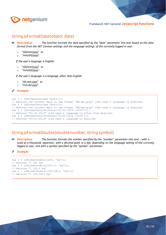

#### string jsFormatDate(object date)

*Description: The function formats the date specified by the "date" parameter into text based on the date format from the NET Genium settings and the language settings of the currently logged in user:*

- o "dd/mm/yyyy" or
- o "mm/dd/yyyy".

*If the user's language is English:*

- o "dd/mm/yyyy" or
- o "mm/dd/yyyy".

*If the user's language is a language other than English:*

- o "dd.mm.yyyy" or
- o "mm.dd.yyyy".

```
Example:
```

```
var s = jsFormatDate(new Date()));
// Returns the current date in the format "dd.mm.yyyy" (the user´s language is English)
var s = jsFormatDate(new Date()));
// Returns the current date in the format "dd/mm/yyyy" (the user´s language is English)
var s = jsFormatDate(Str2Date('01.01.2016 13:00')));
// Returns "01.01.2016" (the user´s language is other than English)
var s = jsFormatDate(Str2Date('01/01/2016 13:00'));
// Returns "01/01/2016" (the user´s language is English)
```
#### string jsFormatDouble(double number, string symbol)

印 *Description: The function formats the number specified by the "number" parameter into text – with a scale as a thousands separator, with a decimal point or a dot, depending on the language setting of the currently logged in user, and with a symbol specified by the "symbol" parameter.*

*Example:*

```
var s = jsFormatDouble(1100, 'kg'));
// Returns "1 100 kg"
var s = jsFormatDouble(1100.5, 'kg'));
// Returns "1 100,5 kg"
var s = jsFormatDouble(1100.5412, 'kg'));
// Returns "1 100,5412 kg"
```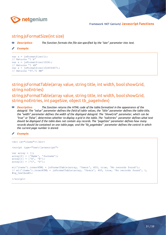

#### string jsFormatSize(int size)

函 *Description: The function formats the file size specified by the "size" parameter into text.*

*Example:*

```
var s = jsFormatSize(1);
// Returns "1 b"
var s = jsFormatSize(1024);
// Returns "1 kB"
var s = jsFormatSize(102456407);
// Returns "97.71 MB"
```
string jsFormatTable(array value, string title, int width, bool showGrid, string noEntries) string jsFormatTable(array value, string title, int width, bool showGrid, string noEntries, int pageSize, object tb\_pageIndex)

*Description: The function returns the HTML code of the table formatted in the appearance of the*  印 *datagrid. The "value" parameter defines the field of table values, the "title" parameter defines the table title, the "width" parameter defines the width of the displayed datagrid. The "showGrid" parameter, which can be "true" or "false", determines whether to display a grid in the table. The "noEntries" parameter defines what text should be displayed if the table does not contain any records. The "pageSize" parameter defines how many records should be contained on one table page, and the "tb\_pageIndex" parameter defines the control in which the current page number is stored.*

*Example:*

```
<div id="items"></div>
<script type="text/javascript">
var array = [];
array[0] = ['Name', 'Surname'];array[1] = ['A', 'B'];
array[2] = ['C', 'D'];
el('items').innerHTML = jsFormatTable(array, 'Users', 400, true, 'No records found');
// el('items').innerHTML = jsFormatTable(array, 'Users', 400, true, 'No records found', 1, 
#ng_textbox#);
```
</script>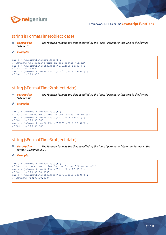

#### string jsFormatTime(object date)

*Description: The function formats the time specified by the "date" parameter into text in the format*  20 *"HH:mm".*

**Contract Contract** *Example:*

```
var s = jsFormatTime(new Date());
// Returns the current time in the format "HH:mm"
var s = jsFormatTime(Str2Date('1.1.2016 13:00'));
// Returns "13:00"
var s = jsFormatTime(Str2Date('01/01/2016 13:00'));
// Returns "13:00"
```
## string jsFormatTime2(object date)

*Description: The function formats the time specified by the "date" parameter into text in the format*  図 *"HH:mm:ss".*

*Example:*

```
var s = jsFormatTime(new Date());
// Returns the current time in the format "HH:mm:ss"
var s = jsFormatTime(Str2Date('1.1.2016 13:00'));
// Returns "13:00:00"
var s = jsFormatTime(Str2Date('01/01/2016 13:00'));
// Returns "13:00:00"
```
## string jsFormatTime3(object date)

*Description: The function formats the time specified by the "date" parameter into a text format in the*  図 *format "HH:mm:ss.SSS".*

#### ₽ *Example:*

```
var s = jsFormatTime(new Date());
// Returns the current time in the format "HH:mm:ss:SSS"
var s = jsFormatTime(Str2Date('1.1.2016 13:00'));
// Returns "13:00:00.000"
var s = jsFormatTime(Str2Date('01/01/2016 13:00'));
// Returns "13:00:00.000"
```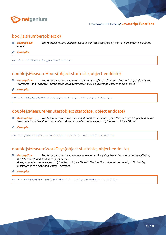

#### bool jsIsNumber(object o)

- *Description: The function returns a logical value if the value specified by the "o" parameter is a number*  印 *or not.*
- *Example:* Ø

var ok = jsIsNumber(#ng textbox#.value);

#### double jsMeasureHours(object startdate, object enddate)

- 20 *Description: The function returns the unrounded number of hours from the time period specified by the "startdate" and "enddate" parameters. Both parameters must be javascript objects of type "Date".*
- *Example:*

var n = jsMeasureHours(Str2Date('1.1.2000'), Str2Date('1.2.2000'));

#### double jsMeasureMinutes(object startdate, object enddate)

- Eß. *Description: The function returns the unrounded number of minutes from the time period specified by the "startdate" and "enddate" parameters. Both parameters must be javascript objects of type "Date".*
- *Example:*

var n = jsMeasureMinutes(Str2Date('1.1.2000'), Str2Date('1.2.2000'));

#### double jsMeasureWorkDays(object startdate, object enddate)

印 *Description: The function returns the number of whole working days from the time period specified by the "startdate" and "enddate" parameters. Both parameters must be javascript objects of type "Date". The function takes into account public holidays registered in the basic application "Settings".*

*Example:*

var n = jsMeasureWorkDays(Str2Date('1.1.2000'), Str2Date('1.2.2000'));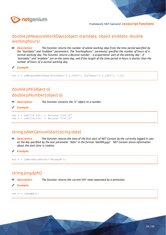

#### double jsMeasureWorkDays(object startdate, object enddate, double workinghours)

*Description: The function returns the number of whole working days from the time period specified by the "startdate" and "enddate" parameters. The "workinghours" parameter specifies the number of hours of a normal working day. The function returns a decimal number – a proportional part of the working day – if "startdate" and "enddate" are on the same day, and if the length of the time period in hours is shorter than the number of hours of a normal working day.*

*Example:*

var n = jsMeasureWorkDays(Str2Date('1.1.2000'), Str2Date('1.2.2000'), 7.5);

## double jsN(object o) double jsNumber(object o)

- 80 *Description: The function converts the "o" object to a number.*
- *Example:*

var n = jsN(114.12); // Returns "114.12" var  $n = jsN(114,12)$ ; // Returns "114.12"

#### string jsNetGeniumStart(string date)

80 *Description: The function returns the time of the first start of NET Genium by the currently logged in user on the day specified by the text parameter "date" in the format "dd.MM.yyyy". NET Genium stores information about the start time in cookies.*

*Example:*

var  $s = j$ sNetGeniumStart('#today#');

## string jsngdph()

EP. *Description: The function returns the current VAT rates separated by a semicolon.*

*Example:*

var s = jsngdph();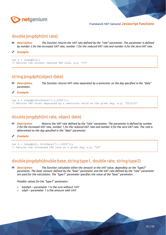

#### double jsngdph(int rate)

- 配 *Description: The function returns the VAT rate defined by the "rate" parameter. The parameter is defined by number 2 for the increased VAT rate, number 1 for the reduced VAT rate and number 0 for the zero VAT rate.*
- *Example:*

```
var n = jsngdph(1);
// Returns the current reduced VAT rate, e.g. "15"
```
## string jsngdph(object date)

印 **Description:** The function returns VAT rates separated by a semicolon on the day specified in the "date" *parameter.*

*Example:*

```
var s = jsngdph(Str2Date('1.1.2000'));
// Returns VAT rates separated by a semicolon valid on the given day, e.g. "22;5;0".
```
#### double jsngdph(int rate, object date)

*Description: Returns the VAT rate defined by the "rate" parameter. The parameter is defined by number 2 for the increased VAT rate, number 1 for the reduced VAT rate and number 0 for the zero VAT rate. The rate is determined on the day specified in the "date" parameter.*

*Example:*

```
var n = jsngdph(2, Str2Date('1.1.2000'));
// Returns the increased VAT rate on a given day, e.g. "22"
```
#### double jsngdph(double base, string type1, double rate, string type2)

印 *Description: The function calculates either the amount or the VAT value, depending on the "type2" parameter. The basic amount defined by the "base" parameter and the VAT rate defined by the "rate" parameter are used for the calculation. The "type1" parameter specifies the value of the "base" parameter.*

*Possible values for the "type1" parameter:*

- o bezdph parameter 1 is the sum without VAT
- $\circ$  sdph parameter 1 is the amount with VAT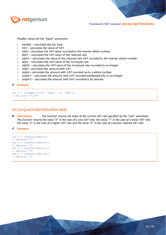

*Possible values for the "type2" parameter:*

- $\circ$  bezdph calculates the tax base
- o VAT calculates the value of VAT
- o zdph calculates the VAT value rounded to the nearest whole number
- o dph1 calculates the VAT value of the reduced rate
- $\circ$  zdph1 calculates the value of the reduced rate VAT rounded to the nearest whole number
- o dph2 calculates the VAT value of the increased rate
- o zdph2 calculates the VAT value of the increased rate rounded to an integer
- o sdph calculates the amount with VAT
- $\circ$  zsdph calculates the amount with VAT rounded up to a whole number
- $\circ$  zsdph-1 calculates the amount with VAT rounded mathematically to an integer
- o zsdph-2 calculates the amount with VAT rounded to 50 pennies

#### *Example:*

var n = jsngdph(-0.55, 'sdph', 19, 'dph'); // Returns "-0,99"

#### int jsngvatindex(double rate)

**<sup>28</sup>** *Description: The function returns the index of the current VAT rate specified by the "rate" parameter. The function returns the value "0" in the case of a zero VAT rate, the value "1" in the case of a lower VAT rate, the value "2" in the case of a higher VAT rate and the value "3" in the case of a second reduced VAT rate.*

#### *Example:*

```
var n = jsngvatindex(0);
// Returns "0"
var n = jsngvatindex(15);
// Returns "1"
var n = jsngvatindex(21);
// Returns "2"
var n = jsngvatindex(10);
// Returns "3"
```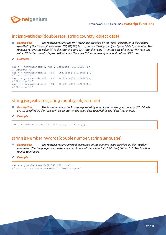

#### int jsngvatindex(double rate, string country, object date)

*Description: The function returns the VAT rate index specified by the "rate" parameter in the country specified by the "country" parameter (CZ, DE, HU, SK, …) and on the day specified by the "date" parameter. The function returns the value "0" in the case of a zero VAT rate, the value "1" in the case of a lower VAT rate, the value "2" in the case of a higher VAT rate and the value "3" in the case of a second reduced VAT rate.*

*Example:*

```
var n = jsngvatindex(0, 'EN', Str2Date('1.1.2020'));
// Returns "0"
var n = jsngvatindex(15, 'EN', Str2Date('1.1.2020'));
// Returns "1"
var n = jsnqvatindex(21, 'EN', Str2Date('1.1.2020'));
// Returns "2"
var n = jsnqvatindex(10, 'EN', Str2Date('1.1.2020'));
// Returns "3"
```
#### string jsngvatrates(string country, object date)

- 函 *Description: The function returns VAT rates separated by a semicolon in the given country (CZ, DE, HU, SK, …) specified by the "country" parameter on the given date specified by the "date" parameter.*
- *Example:*

var s = jsngvatrates('DE', Str2Date('1.1.2013'));

#### string jsNumberInWords(double number, string language)

Eß. *Description: The function returns a verbal expression of the numeric value specified by the "number" parameter. The "language" parameter can contain one of the values "cs", "de", "en", "fr" or "sk". The function rounds to integers.*

#### *Example:*

```
var s = jsNumberInWords(12345.678, 'cs');
// Returns "twelvethousandfourhundredfortysix"
```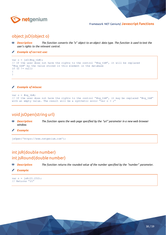

#### object jsO(object o)

- *Description: The function converts the "o" object to an object data type. The function is used to test the user's rights to the relevant control.*
- *Example of correct use:*  $\mathscr{O}$

```
var o = jso(\text{mod }tbt);
// If the user does not have the rights to the control "#ng tb#", it will be replaced
"#ng tb#" by the value stored in this element in the database
if (0 \mid = null){
}
```
#### *Example of misuse:*

```
var o = #ng tb#;
// If the user does not have the rights to the control "#ng tb#", it may be replaced "#ng tb#"
with an empty value. The result will be a synthetic error "var o = j''
```
#### void jsOpen(string url)

- 図 *Description: The function opens the web page specified by the "url" parameter in a new web browser window.*
- *Example:*

jsOpen('https://www.netgenium.com');

## int jsR(double number) int jsRound(double number)

- 蛔 *Description: The function returns the rounded value of the number specified by the "number" parameter.*
- *Example:*

var  $n = j sR(21.232)$ ; // Returns "21"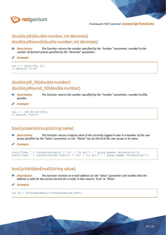

## double jsR(double number, int decimals) double jsRound(double number, int decimals)

*Description: The function returns the number specified by the "number" parameter, rounded to the number of decimal places specified by the "decimals" parameter.*

```
Example:
```
var  $n = j sR(2.354, 2)$ ; // Returns "2.35"

## double jsR\_50(double number) double jsRound\_50(double number)

- *Description: The function returns the number specified by the "number" parameter, rounded to fifty*  印 *pennies.*
- *Example:*

```
var n = j sR 50(123.456);
// Returns "123,5"
```
#### bool jsUserInGroup(string name)

- Eß. *Description: The function returns a logical value if the currently logged in user is a member of the user group specified by the "name" parameter or not. "Name" can be the id of the user group or its name.*
- *Example:*

```
alert('User ' + (jsUserInGroup(2) ? 'is' : 'is not') + ' group member <b>Vsers</b>');
alert('User ' + (jsUserInGroup('Users') ? 'is' : 'is not') + ' group member <b>Users</b>');
```
#### bool jsValidateEmail(string value)

- 80 *Description: The function receives an e-mail address via the "value" parameter and verifies that the address is valid (in the correct format for e-mail). It then returns "true" or "false".*
- *Example:*

var ok = jsValidateEmail('info@netgenium.com');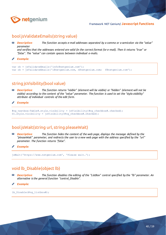

## bool jsValidateEmails(string value)

**<sup>88</sup> Description:** The function accepts e-mail addresses separated by a comma or a semicolon via the "value" *parameter and verifies that the addresses entered are valid (in the correct format for e-mail). Then it returns "true" or "false". The "value" can contain spaces between individual e-mails.*

*Example:*

```
var ok = jsValidateEmails('info@netgenium.com');
var ok = jsValidateEmails('i@netgenium.com, n@netgenium.com; f@netgenium.com');
```
## string jsVisibility(bool value)

RIP. *Description: The function returns "visible" (element will be visible) or "hidden" (element will not be visible) according to the content of the "value" parameter. The function is used to set the "style.visibility" attribute of individual controls of the edit form.*

*Example:*

```
#ng textbox:Table#.style.visibility = jsVisibility(#ng checkbox#.checked);
D1.style.visibility = jsVisibility(#ng_checkbox#.checked);
```
#### bool jsWait(string url, string pleaseWait)

Eß. *Description: The function hides the content of the web page, displays the message defined by the "pleaseWait" parameter, and redirects the user to a new web page with the address specified by the "url" parameter. The function returns "false".*

*Example:*

jsWait('https://www.netgenium.com', 'Please wait…');

## void lb\_Disable(object lb)

- 80 *Description: The function disables the editing of the "ListBox" control specified by the "lb" parameter. An alternative is the general function "control\_Disable".*
- *Example:*

lb\_Disable(#ng\_listbox#);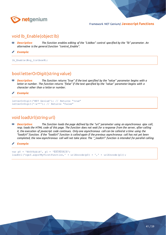

#### void lb\_Enable(object lb)

- *Description: The function enables editing of the "ListBox" control specified by the "lb" parameter. An alternative is the general function "control\_Enable".*
- *Example:* Ø

lb Enable(#ng listbox#);

#### bool letterOrDigit(string value)

*Description: The function returns "true" if the text specified by the "value" parameter begins with a letter or number. The function returns "false" if the text specified by the "value" parameter begins with a character other than a letter or number.*

*Example:*

```
letterOrDigit('NET Genium'); // Returns "true"
letterOrDigit('-a**'); // Returns "false"
```
#### void loadUrl(string url)

**RIB** *Description: The function loads the page defined by the "url" parameter using an asynchronous ajax call, resp. loads the HTML code of this page. The function does not wait for a response from the server, after calling it, the execution of javascript code continues. Only one asynchronous call can be called at a time using the "loadUrl" function. If the "loadUrl" function is called again if the previous asynchronous call has not yet been completed, the new asynchronous call will not take place. The "\_loadUrl" function is intended for parallel calling.*

*Example:*

```
var p0 = 'ěščřžýáíé', p1 = 'ĚŠČŘŽÝÁÍÉ';
loadUrl('ngef.aspx?MyFirstFunction,' + urlEncode(p0) + ',' + urlEncode(p1));
```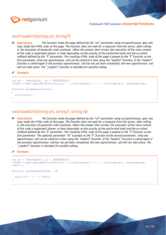

#### void loadUrl(string url, string f)

*Description: The function loads the page defined by the "url" parameter using an asynchronous ajax call, resp. loads the HTML code of this page. The function does not wait for a response from the server, after calling it, the execution of javascript code continues. When the answer then arrives, the execution of the main context of the code is suspended (sooner or later depending on the priority of the performed task) and the so-called callback defined by the "f" parameter. The resulting HTML code of the page is passed to the "f" function as the first parameter. Only one asynchronous call can be called at a time using the "loadUrl" function. If the "loadUrl" function is called again if the previous asynchronous call has not yet been completed, the new asynchronous call will not take place. The "\_loadUrl" function is intended for parallel calling.*

*Example:*

```
var p0 = 'ěščřžýáíé', p1 = 'ĚŠČŘŽÝÁÍÉ';
loadUrl('ngef.aspx?MyFirstFunction,' + urlEncode(p0) + ',' + urlEncode(p1), ajaxResponse);
function ajaxResponse(html)
{
  alert(html);
}
```
#### void loadUrl(string url, string f, string id)

*Description: The function loads the page defined by the "url" parameter using an asynchronous ajax call, resp. loads the HTML code of this page. The function does not wait for a response from the server, after calling it, the execution of javascript code continues. When the answer then arrives, the execution of the main context of the code is suspended (sooner or later depending on the priority of the performed task) and the so-called callback defined by the "f" parameter. The resulting HTML code of the page is passed to the "f" function as the first parameter. The optional parameter "id" is passed to the "f" function as the second parameter. Only one asynchronous call can be called at a time using the "loadUrl" function. If the "loadUrl" function is called again if the previous asynchronous call has not yet been completed, the new asynchronous call will not take place. The "\_loadUrl" function is intended for parallel calling.*

#### *Example:*

```
var p0 = 'ěščřžýáíé', p1 = 'ĚŠČŘŽÝÁÍÉ';
loadUrl('ngef.aspx?MyFirstFunction,' + urlEncode(p0) + ',' + urlEncode(p1), ajaxResponse, 
'test');
function ajaxResponse(html, id)
{
  alert(id + ' : ' + html);
}
```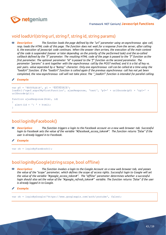

#### void loadUrl(string url, string f, string id, string params)

*Description: The function loads the page defined by the "url" parameter using an asynchronous ajax call, resp. loads the HTML code of this page. The function does not wait for a response from the server, after calling it, the execution of javascript code continues. When the answer then arrives, the execution of the main context of the code is suspended (sooner or later depending on the priority of the performed task) and the so-called callback defined by the "f" parameter. The resulting HTML code of the page is passed to the "f" function as the first parameter. The optional parameter "id" is passed to the "f" function as the second parameter. The parameter "params" is sent together with the asynchronous call by the POST method, and it is a list of key vs.*  pair pairs. value separated by a "&" character. Only one asynchronous call can be called at a time using the *"loadUrl" function. If the "loadUrl" function is called again if the previous asynchronous call has not yet been completed, the new asynchronous call will not take place. The "\_loadUrl" function is intended for parallel calling.*

*Example:*

```
var p0 = 'ěščřžýáíé', p1 = 'ĚŠČŘŽÝÁÍÉ';
loadUrl('ngef.aspx?MyFirstFunction', ajaxResponse, 'test', 'p0=' + urlEncode(p0) + '&p1=' + 
urlEncode(p1));
function ajaxResponse(html, id)
{
  alert(id + \cdot : \cdot + html);
}
```
#### bool loginByFacebook()

- 印 *Description: The function triggers a login to the Facebook account on a new web browser tab. Successful login to Facebook sets the value of the variable "#facebook\_access\_token#". The function returns "false" if the user is already logged in to Facebook.*
- *Example:*

var ok = loginByFacebook();

#### bool loginByGoogle(string scope, bool offline)

印 *Description: The function invokes a login to the Google Account on a new web browser tab, and passes the value of the "scope" parameter, which defines the scope of access rights. Successful login to Google will set the value of the variable "#google\_access\_token#". The "offline" parameter determines whether a successful login should also set the value of the "#google\_refresh\_token#" variable. The function returns "false" if the user is already logged in to Google.*

#### *Example:*

var ok = loginByGoogle('https://www.googleapis.com/auth/youtube', false);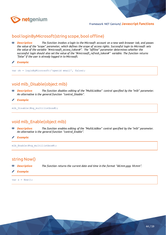

#### bool loginByMicrosoft(string scope, bool offline)

- *Description: The function invokes a login to the Microsoft account on a new web browser tab, and passes the value of the "scope" parameter, which defines the scope of access rights. Successful login to Microsoft sets the value of the variable "#microsoft\_access\_token#". The "offline" parameter determines whether the successful login should also set the value of the "#microsoft\_refresh\_token#" variable. The function returns "false" if the user is already logged in to Microsoft.*
- *Example:*

var ok = loginByMicrosoft('openid email', false);

## void mlb\_Disable(object mlb)

- **<sup>88</sup>** *Description: The function disables editing of the "MultiListBox" control specified by the "mlb" parameter. An alternative is the general function "control\_Disable".*
- *Example:*

mlb\_Disable(#ng\_multilistbox#);

#### void mlb\_Enable(object mlb)

- RB. *Description: The function enables editing of the "MultiListBox" control specified by the "mlb" parameter. An alternative is the general function "control\_Enable".*
- *Example:*

mlb\_Enable(#ng\_multilistbox#);

#### string Now()

- 印 *Description: The function returns the current date and time in the format "dd.mm.yyyy hh:mm".*
- *Example:*

var  $s = Now()$ ;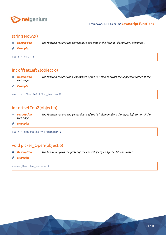

#### string Now2()

- *Description: The function returns the current date and time in the format "dd.mm.yyyy hh:mm:ss".* Eß.
- *Example:*

var  $s = Now2()$ ;

## int offsetLeft2(object o)

80 *Description: The function returns the x-coordinate of the "o" element from the upper left corner of the web page.*

*Example:*

var n = offsetLeft2(#ng textbox#);

## int offsetTop2(object o)

80 *Description: The function returns the y-coordinate of the "o" element from the upper left corner of the web page.*

*Example:*

var n = offsetTop2(#ng\_textbox#);

## void picker\_Open(object o)

函 *Description: The function opens the picker of the control specified by the "o" parameter.*

*Example:*

picker\_Open(#ng\_textbox#);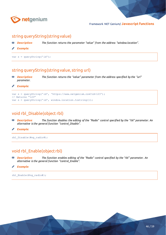

#### string queryString(string value)

- *Description: The function returns the parameter "value" from the address "window.location".* 印
- *Example:*

var s = queryString('id');

#### string queryString(string value, string url)

*Description: The function returns the "value" parameter from the address specified by the "url"*  RB. *parameter.*

*Example:*

```
var s = queryString('id', 'https://www.netgenium.com?id=123');
// Returns "123"
var s = queryString('id', window.location.tostring());
```
#### void rbl\_Disable(object rbl)

- 80 *Description: The function disables the editing of the "Radio" control specified by the "rbl" parameter. An alternative is the general function "control\_Disable".*
- *Example:*

```
rbl_Disable(#ng_radio#);
```
#### void rbl\_Enable(object rbl)

80 *Description: The function enables editing of the "Radio" control specified by the "rbl" parameter. An alternative is the general function "control\_Enable".*

```
Example:
```

```
rbl_Enable(#ng_radio#);
```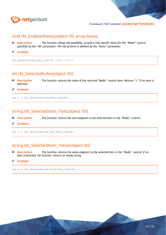

#### void rbl\_EnabledItems(object rbl, array items)

- *Description: The function allows the possibility to select only specific items for the "Radio" control*  RB. *specified by the "rbl" parameter. The list of items is defined by the "items" parameter.*
- ◢ *Example:*

rbl\_EnabledItems(#ng\_radio#, ['a', 'b']);

## int rbl\_SelectedIndex(object rbl)

*Description: The function returns the index of the selected "Radio" control item. Returns "-1" if no item is*  配 *selected.*

*Example:* ∕

var n = rbl SelectedIndex(#ng radio#);

#### string rbl SelectedItem Text(object rbl)

- Eß. *Description: The function returns the text assigned to the selected item in the "Radio" control.*
- *Example:*

var s = rbl\_SelectedItem\_Text(#ng\_radio#);

## string rbl\_SelectedItem\_Value(object rbl)

印 *Description: The function returns the value assigned to the selected item in the "Radio" control. If no item is selected, the function returns an empty string.*

#### *Example:*

var s = rbl\_SelectedItem\_Value(#ng\_radio#);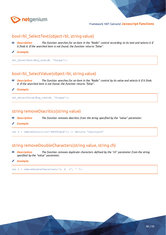

#### bool rbl\_SelectText(object rbl, string value)

- *Description: The function searches for an item in the "Radio" control according to its text and selects it if*  RB. *it finds it. If the searched item is not found, the function returns "false".*
- ◢ *Example:*

rbl\_SelectText(#ng\_radio#, 'Prague');

#### bool rbl\_SelectValue(object rbl, string value)

- *Description: The function searches for an item in the "Radio" control by its value and selects it if it finds*  RB. *it. If the searched item is not found, the function returns "false".*
- *Example:* ◢

rbl SelectValue(#ng radio#, 'Prague');

#### string removeDiacritics(string value)

- Eß. *Description: The function removes diacritics from the string specified by the "value" parameter.*
- *Example:*

var s = removeDiacritics('ěščřžýáíé'); // Returns "escrzyaie"

#### string removeDoubleCharacters(string value, string ch)

印 *Description: The function removes duplicate characters defined by the "ch" parameter from the string specified by the "value" parameter.*

#### *Example:*

var s = removeDoubleCharacters('a b c', ' ');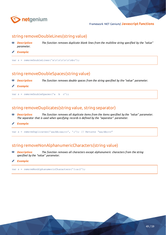

#### string removeDoubleLines(string value)

- *Description: The function removes duplicate blank lines from the multiline string specified by the "value"*  印 *parameter.*
- **Contraction** *Example:*

```
var s = removeDoubleLines('a\r\n\r\n\r\nbc');
```
#### string removeDoubleSpaces(string value)

- 80 *Description: The function removes double spaces from the string specified by the "value" parameter.*
- *Example:*

var s = removeDoubleSpaces('a b c');

#### string removeDuplicates(string value, string separator)

- Eß. *Description:* The function removes all duplicate items from the items specified by the "value" parameter. *The separator that is used when specifying records is defined by the "separator" parameter.*
- *Example:*

var s = removeDuplicates('aa;bb;aa;cc', ';'); // Returns "aa;bb;cc"

#### string removeNonAlphanumericCharacters(string value)

函 *Description: The function removes all characters except alphanumeric characters from the string specified by the "value" parameter.*

#### *Example:*

var s = removeNonAlphanumericCharacters('1:a:2');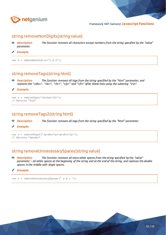

#### string removeNonDigits(string value)

- *Description: The function removes all characters except numbers from the string specified by the "value"*  印 *parameter.*
- *Example:* Ø

var s = removeNonDigits('1.2.3');

#### string removeTags(string html)

- 聊 *Description: The function removes all tags from the string specified by the "html" parameter, and replaces the "</div>", "<br>", "<hr>", "</p>" and "</li>" after blank lines using the substring "\r\n".*
- *Example:* ◢

```
var s = removeTags('<b>Yes</b>');
// Returns "Yes"
```
#### string removeTags2(string html)

- 80 *Description: The function removes all tags from the string specified by the "html" parameter.*
- *Example:*

```
var s = removeTags2('<p>abc</p><p>abc</p>');
// Returns "abcabc"
```
#### string removeUnnecessarySpaces(string value)

- 80 *Description: The function removes all extra white spaces from the string specified by the "value" parameter – all white spaces at the beginning of the string and at the end of the string, and replaces the double spaces in the middle with single spaces.*
- *Example:*

```
var s = removeUnnecessarySpaces(' a b c ');
```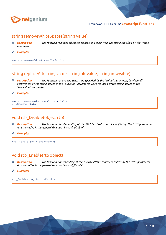

#### string removeWhiteSpaces(string value)

- *Description: The function removes all spaces (spaces and tabs) from the string specified by the "value"*  20 *parameter.*
- **CONTRACTOR** *Example:*

var s = removeWhiteSpaces('a b c');

## string replaceAll(string value, string oldvalue, string newvalue)

- *Description: The function returns the text string specified by the "value" parameter, in which all*  RB. *occurrences of the string stored in the "oldvalue" parameter were replaced by the string stored in the "newvalue" parameter.*
- *Example:*

```
var s = replaceAll('Lálá', 'á', 'a');
// Returns "Lala"
```
## void rtb Disable(object rtb)

- RB. *Description: The function disables editing of the "RichTextBox" control specified by the "rtb" parameter. An alternative is the general function "control\_Disable".*
- Í *Example:*

rtb\_Disable(#ng\_richtextbox#);

#### void rtb\_Enable(rtb object)

Eß. *Description: The function allows editing of the "RichTextBox" control specified by the "rtb" parameter. An alternative is the general function "control\_Enable".*

```
Example:
```
rtb\_Enable(#ng\_richtextbox#);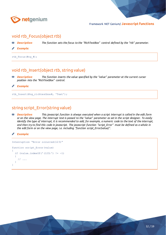

#### void rtb Focus(object rtb)

- *Description: The function sets the focus to the "RichTextBox" control defined by the "rtb" parameter.* Eß.
- *Example:*

rtb\_Focus(#ng\_#);

#### void rtb\_Insert(object rtb, string value)

- *Description: The function inserts the value specified by the "value" parameter at the current cursor*  印 *position into the "RichTextBox" control.*
- *Example:*

rtb\_Insert(#ng\_richtextbox#, 'Text');

## string script\_Error(string value)

- RIP. *Description: This javascript function is always executed when a script interrupt is called in the edit form or on the view page. The interrupt text is passed to the "value" parameter as set in the script designer. To easily identify the type of interrupt, it is recommended to add, for example, a numeric code to the text of the interrupt, and then try to find this code in javascript. The javascript function "script\_Error" must be defined as a whole in the edit form or on the view page, i.e. including "function script\_Error(value)".*
- *Example:*

```
Interruption "Error occurred(123)"
function script_Error(value)
{
  if (value.indexOf('(123)') != -1) {
     // ...
 }
}
```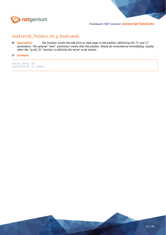

## void scroll\_To(int x, int y, bool save)

- **<sup>88</sup>** *Description: The function scrolls the edit form or view page to the position defined by the "x" and "y" parameters. The optional "save" parameter means that this position should be remembered immediately, usually when the "scroll\_To" function is called by the server script button.*
- *Example:* **CONTRACTOR**

scroll To $(0, 0);$  $scrollTo(0, 0, true);$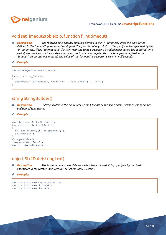

#### void setTimeout2(object o, function f, int timeout)

*Description: The function calls another function defined in the "f" parameter after the time period defined in the "timeout" parameter has elapsed. The function always binds to the specific object specified by the "o" parameter. If the "setTimeout2" function with the same parameters is called again during the specified time period, the previous call is canceled and a new one is scheduled again after the time period defined in the "timeout" parameter has elapsed. The value of the "timeout" parameter is given in milliseconds.*

*Example:*

```
var saveObject = new Object();
function form_Change()
{
  setTimeout2(saveObject, function() { form Save(); }, 1000);
}
```
## string StringBuilder()

RIP. *Description: "StringBuilder" is the equivalent of the C# class of the same name, designed for optimized addition of long strings.*

*Example:*

```
var sb = new StringBuilder();
for (var i = 0; i < 10; i++){
   if (!sb.isEmpty()) sb.append(';');
   sb.append(i);
}
sb.appendLine();
sb.appendLine('abc');
var s = sb.toString();
```
#### object Str2Date(string text)

**Description:** The function returns the date converted from the text string specified by the "text" RB. *parameter in the format "dd.MM.yyyy" or "dd.MM.yyyy HH:mm".*

*Example:*

```
var d = Str2Date(#ng date#.value);
var d = Str2Date('#today#');
var d = Str2Date('#now#');
```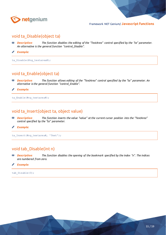

#### void ta\_Disable(object ta)

- *Description: The function disables the editing of the "TextArea" control specified by the "ta" parameter. An alternative is the general function "control\_Disable".*
- **Contraction** *Example:*

ta Disable(#ng textarea#);

#### void ta\_Enable(object ta)

- *Description: The function allows editing of the "TextArea" control specified by the "ta" parameter. An alternative is the general function "control\_Enable".*
- *Example:* ∕

ta Enable(#ng textarea#);

#### void ta\_Insert(object ta, object value)

- *Description: The function inserts the value "value" at the current cursor position into the "TextArea"*  80 *control specified by the "ta" parameter.*
- *Example:* Í

ta\_Insert(#ng\_textarea#, 'Text');

#### void tab\_Disable(int n)

- 配 *Description: The function disables the opening of the bookmark specified by the index "n". The indices are numbered from zero.*
- *Example:* I

tab Disable(0);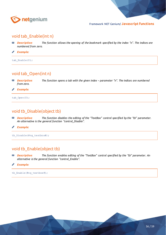

#### void tab\_Enable(int n)

*Description: The function allows the opening of the bookmark specified by the index "n". The indices are numbered from zero.*

**Contraction** *Example:*

tab Enable(0);

#### void tab\_Open(int n)

**<sup>88</sup>** *Description: The function opens a tab with the given index – parameter "n". The indices are numbered from zero.*

*Example:* ₽

tab Open(0);

#### void tb\_Disable(object tb)

- *Description: The function disables the editing of the "TextBox" control specified by the "tb" parameter. An alternative is the general function "control\_Disable".*
- *Example:* ◢

tb\_Disable(#ng\_textbox#);

#### void tb\_Enable(object tb)

- *Description: The function enables editing of the "TextBox" control specified by the "tb" parameter. An*  RB. *alternative is the general function "control\_Enable".*
- *Example:* I

tb\_Enable(#ng\_textbox#);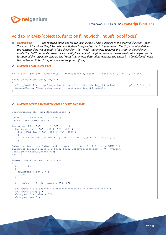

#### void tb\_InitAjax(object tb, function f, int width, int left, bool focus)

**<sup>88</sup>** *Description: The function initializes its own ajax picker, which is defined in the external function "ngef". The control for which the picker will be initialized is defined by the "tb" parameter. The "f" parameter defines the function that will be used to load the picker. The "width" parameter specifies the width of the picker in pixels. The "left" parameter determines the displacement of the picker window on the x-axis with respect to the location of the respective control. The "focus" parameter determines whether the picker is to be displayed when the control is clicked (true) or when entering data (false).*

#### *Example of the client part:*

```
tb InitAjax(#ng tb#, function(e) { startSearch(e, 'test1', 'test2'); }, 150, 0, false);
function startSearch(e, p0, p1)
{
  // tb LoadUrl(e, 'ngef.aspx?TestPicker,' + urlEncode(#ng tb#.value) + ',' + p0 + ',' + p1);
  tb LoadUrl(e, 'TestPicker.aspx?' + urlEncode(#ng_tb#.value));
}
```
#### *Example server part (source code of TestPicker.aspx):*

```
StringBuilder sb = new StringBuilder();
DataTable data = new DataTable();
data.Columns.Add("value");
for (char ch1 = 'A'; ch1 \le 'C'; ch1++)
  for (char ch2 = 'A'; ch2 <= 'C'; ch2++)
    for (char ch3 = 'A'; ch3 <= 'C'; ch3++)
     {
       data.Rows.Add(ch1.ToString() + ch2.ToString() + ch3.ToString());
     }
DataView view = new DataView(data, args[0].Length != 0 ? "value LIKE " + 
ParserSql.ToString(args[0], true, true, DbDriver.DataView) : "", "value", 
DataViewRowState.CurrentRows);
int n = 0;
foreach (DataRowView row in view)
{
  if (n == 20)\rightarrow {
     sb.Append("<br>...");
    break;
   }
  if (sb.length != 0) sb. Append('Kbr>);
   sb.Append("<a class=\"lf\" href=\"javascript:\" onclick=\"el('");
   sb.Append(args[1]);
  sb.Append("').value = '");
   sb.Append(row[0]);
```
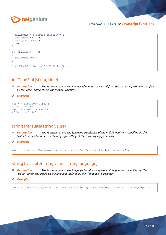

```
 sb.Append("'; return false;\">");
   sb.Append(row[0]);
  sb.Append("</a>");
  n++;}
if (sh.length == 0){
   sb.Append("OK");
}
Html.FlushAjaxContent(sb.ToString());
```
#### int Time2Int(string time)

RB. *Description:* The function returns the number of minutes converted from the text string – time – specified *by the "time" parameter in the format "HH:mm".*

```
Example:
◢
```

```
var n = Time2Int('01:23');// Returns "83"
var n = Time2Int(' -01:24');// Returns "-84"
```
#### string translate(string value)

- 80 *Description: The function returns the language translation of the multilingual term specified by the "value" parameter based on the language setting of the currently logged in user.*
- *Example:*

var s = translate('Approval has been canceled#en:Approval has been canceled');

## string translate(string value, string language)

- 函 *Description: The function returns the language translation of the multilingual term specified by the "value" parameter based on the language defined by the "language" parameter.*
- *Example:*

var s = translate('Approval has been canceled#en:Approval has been canceled', '#language#');